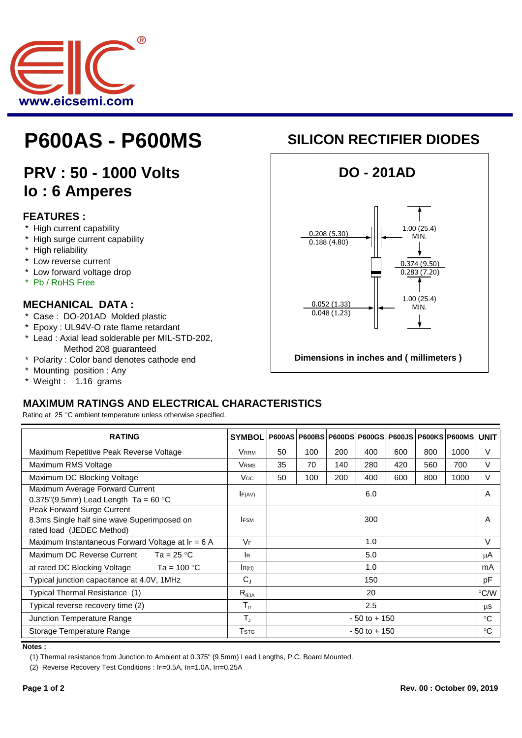

# **P600AS - P600MS**

## **PRV : 50 - 1000 Volts Io : 6 Amperes**

#### **FEATURES :**

- \* High current capability
- \* High surge current capability
- \* High reliability
- \* Low reverse current
- \* Low forward voltage drop
- \* Pb / RoHS Free

#### **MECHANICAL DATA :**

- \* Case : DO-201AD Molded plastic
- \* Epoxy : UL94V-O rate flame retardant
- \* Lead : Axial lead solderable per MIL-STD-202, Method 208 guaranteed
- \* Polarity : Color band denotes cathode end
- \* Mounting position : Any
- \* Weight : 1.16 grams

### **SILICON RECTIFIER DIODES**



#### **MAXIMUM RATINGS AND ELECTRICAL CHARACTERISTICS**

Rating at 25 °C ambient temperature unless otherwise specified.

| <b>RATING</b>                                                                                          | <b>SYMBOL</b>         |                 |     |     |     |     | P600AS   P600BS   P600DS   P600GS   P600JS   P600KS   P600MS |             | <b>UNIT</b> |
|--------------------------------------------------------------------------------------------------------|-----------------------|-----------------|-----|-----|-----|-----|--------------------------------------------------------------|-------------|-------------|
| Maximum Repetitive Peak Reverse Voltage                                                                | <b>VRRM</b>           | 50              | 100 | 200 | 400 | 600 | 800                                                          | 1000        | $\vee$      |
| Maximum RMS Voltage                                                                                    | <b>VRMS</b>           | 35              | 70  | 140 | 280 | 420 | 560                                                          | 700         | V           |
| Maximum DC Blocking Voltage                                                                            | <b>V<sub>DC</sub></b> | 50              | 100 | 200 | 400 | 600 | 800                                                          | 1000        | $\vee$      |
| Maximum Average Forward Current<br>0.375"(9.5mm) Lead Length $Ta = 60 °C$                              | F(AV)                 | 6.0             |     |     |     |     |                                                              | A           |             |
| Peak Forward Surge Current<br>8.3ms Single half sine wave Superimposed on<br>rated load (JEDEC Method) | <b>IFSM</b>           | 300             |     |     |     |     |                                                              | A           |             |
| Maximum Instantaneous Forward Voltage at $I_F = 6$ A                                                   | <b>VF</b>             | 1.0             |     |     |     |     |                                                              | $\vee$      |             |
| Ta = $25 °C$<br>Maximum DC Reverse Current                                                             | <b>IR</b>             | 5.0             |     |     |     |     |                                                              | μA          |             |
| Ta = 100 $^{\circ}$ C<br>at rated DC Blocking Voltage                                                  | R(H)                  | 1.0             |     |     |     |     |                                                              | mA          |             |
| Typical junction capacitance at 4.0V, 1MHz                                                             | $C_{J}$               | 150             |     |     |     |     |                                                              | рF          |             |
| Typical Thermal Resistance (1)                                                                         | $R_{\theta$ JA        | 20              |     |     |     |     |                                                              | °C/W        |             |
| Typical reverse recovery time (2)                                                                      | $T_{rr}$              | 2.5             |     |     |     |     |                                                              | μS          |             |
| Junction Temperature Range                                                                             | $T_{J}$               | $-50$ to $+150$ |     |     |     |     |                                                              | $^{\circ}C$ |             |
| Storage Temperature Range                                                                              | <b>T</b> stg          | $-50$ to $+150$ |     |     |     |     |                                                              |             | $^{\circ}C$ |

**Notes :**

(1) Thermal resistance from Junction to Ambient at 0.375" (9.5mm) Lead Lengths, P.C. Board Mounted.

(2) Reverse Recovery Test Conditions : IF=0.5A, IR=1.0A, Irr=0.25A